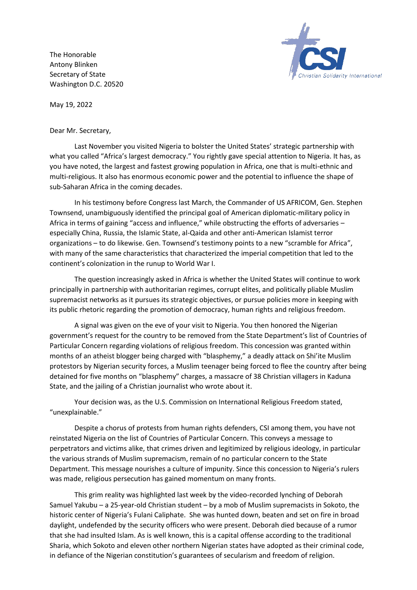The Honorable Antony Blinken Secretary of State Washington D.C. 20520



May 19, 2022

Dear Mr. Secretary,

Last November you visited Nigeria to bolster the United States' strategic partnership with what you called "Africa's largest democracy." You rightly gave special attention to Nigeria. It has, as you have noted, the largest and fastest growing population in Africa, one that is multi-ethnic and multi-religious. It also has enormous economic power and the potential to influence the shape of sub-Saharan Africa in the coming decades.

In his testimony before Congress last March, the Commander of US AFRICOM, Gen. Stephen Townsend, unambiguously identified the principal goal of American diplomatic-military policy in Africa in terms of gaining "access and influence," while obstructing the efforts of adversaries – especially China, Russia, the Islamic State, al-Qaida and other anti-American Islamist terror organizations – to do likewise. Gen. Townsend's testimony points to a new "scramble for Africa", with many of the same characteristics that characterized the imperial competition that led to the continent's colonization in the runup to World War I.

The question increasingly asked in Africa is whether the United States will continue to work principally in partnership with authoritarian regimes, corrupt elites, and politically pliable Muslim supremacist networks as it pursues its strategic objectives, or pursue policies more in keeping with its public rhetoric regarding the promotion of democracy, human rights and religious freedom.

A signal was given on the eve of your visit to Nigeria. You then honored the Nigerian government's request for the country to be removed from the State Department's list of Countries of Particular Concern regarding violations of religious freedom. This concession was granted within months of an atheist blogger being charged with "blasphemy," a deadly attack on Shi'ite Muslim protestors by Nigerian security forces, a Muslim teenager being forced to flee the country after being detained for five months on "blasphemy" charges, a massacre of 38 Christian villagers in Kaduna State, and the jailing of a Christian journalist who wrote about it.

Your decision was, as the U.S. Commission on International Religious Freedom stated, "unexplainable."

Despite a chorus of protests from human rights defenders, CSI among them, you have not reinstated Nigeria on the list of Countries of Particular Concern. This conveys a message to perpetrators and victims alike, that crimes driven and legitimized by religious ideology, in particular the various strands of Muslim supremacism, remain of no particular concern to the State Department. This message nourishes a culture of impunity. Since this concession to Nigeria's rulers was made, religious persecution has gained momentum on many fronts.

This grim reality was highlighted last week by the video-recorded lynching of Deborah Samuel Yakubu – a 25-year-old Christian student – by a mob of Muslim supremacists in Sokoto, the historic center of Nigeria's Fulani Caliphate. She was hunted down, beaten and set on fire in broad daylight, undefended by the security officers who were present. Deborah died because of a rumor that she had insulted Islam. As is well known, this is a capital offense according to the traditional Sharia, which Sokoto and eleven other northern Nigerian states have adopted as their criminal code, in defiance of the Nigerian constitution's guarantees of secularism and freedom of religion.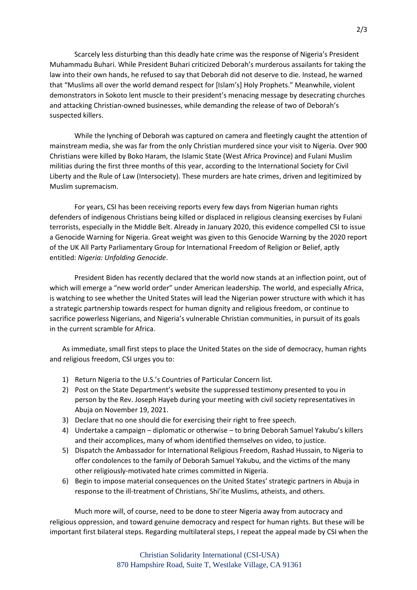Scarcely less disturbing than this deadly hate crime was the response of Nigeria's President Muhammadu Buhari. While President Buhari criticized Deborah's murderous assailants for taking the law into their own hands, he refused to say that Deborah did not deserve to die. Instead, he warned that "Muslims all over the world demand respect for [Islam's] Holy Prophets." Meanwhile, violent demonstrators in Sokoto lent muscle to their president's menacing message by desecrating churches and attacking Christian-owned businesses, while demanding the release of two of Deborah's suspected killers.

While the lynching of Deborah was captured on camera and fleetingly caught the attention of mainstream media, she was far from the only Christian murdered since your visit to Nigeria. Over 900 Christians were killed by Boko Haram, the Islamic State (West Africa Province) and Fulani Muslim militias during the first three months of this year, according to the International Society for Civil Liberty and the Rule of Law (Intersociety). These murders are hate crimes, driven and legitimized by Muslim supremacism.

For years, CSI has been receiving reports every few days from Nigerian human rights defenders of indigenous Christians being killed or displaced in religious cleansing exercises by Fulani terrorists, especially in the Middle Belt. Already in January 2020, this evidence compelled CSI to issue a Genocide Warning for Nigeria. Great weight was given to this Genocide Warning by the 2020 report of the UK All Party Parliamentary Group for International Freedom of Religion or Belief, aptly entitled: *Nigeria: Unfolding Genocide*.

President Biden has recently declared that the world now stands at an inflection point, out of which will emerge a "new world order" under American leadership. The world, and especially Africa, is watching to see whether the United States will lead the Nigerian power structure with which it has a strategic partnership towards respect for human dignity and religious freedom, or continue to sacrifice powerless Nigerians, and Nigeria's vulnerable Christian communities, in pursuit of its goals in the current scramble for Africa.

As immediate, small first steps to place the United States on the side of democracy, human rights and religious freedom, CSI urges you to:

- 1) Return Nigeria to the U.S.'s Countries of Particular Concern list.
- 2) Post on the State Department's website the suppressed testimony presented to you in person by the Rev. Joseph Hayeb during your meeting with civil society representatives in Abuja on November 19, 2021.
- 3) Declare that no one should die for exercising their right to free speech.
- 4) Undertake a campaign diplomatic or otherwise to bring Deborah Samuel Yakubu's killers and their accomplices, many of whom identified themselves on video, to justice.
- 5) Dispatch the Ambassador for International Religious Freedom, Rashad Hussain, to Nigeria to offer condolences to the family of Deborah Samuel Yakubu, and the victims of the many other religiously-motivated hate crimes committed in Nigeria.
- 6) Begin to impose material consequences on the United States' strategic partners in Abuja in response to the ill-treatment of Christians, Shi'ite Muslims, atheists, and others.

Much more will, of course, need to be done to steer Nigeria away from autocracy and religious oppression, and toward genuine democracy and respect for human rights. But these will be important first bilateral steps. Regarding multilateral steps, I repeat the appeal made by CSI when the